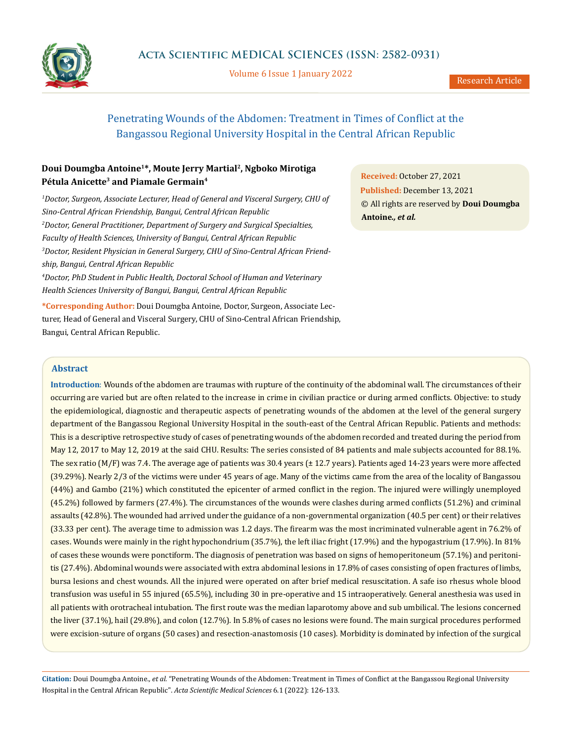

Volume 6 Issue 1 January 2022

# Penetrating Wounds of the Abdomen: Treatment in Times of Conflict at the Bangassou Regional University Hospital in the Central African Republic

## **Doui Doumgba Antoine1\*, Moute Jerry Martial2, Ngboko Mirotiga Pétula Anicette3 and Piamale Germain4**

<sup>1</sup>Doctor, Surgeon, Associate Lecturer, Head of General and Visceral Surgery, CHU of *Sino-Central African Friendship, Bangui, Central African Republic 2 Doctor, General Practitioner, Department of Surgery and Surgical Specialties, Faculty of Health Sciences, University of Bangui, Central African Republic 3 Doctor, Resident Physician in General Surgery, CHU of Sino-Central African Friendship, Bangui, Central African Republic 4 Doctor, PhD Student in Public Health, Doctoral School of Human and Veterinary Health Sciences University of Bangui, Bangui, Central African Republic*

**\*Corresponding Author:** Doui Doumgba Antoine, Doctor, Surgeon, Associate Lecturer, Head of General and Visceral Surgery, CHU of Sino-Central African Friendship, Bangui, Central African Republic.

**Received:** October 27, 2021 **Published:** December 13, 2021 © All rights are reserved by **Doui Doumgba Antoine***., et al.*

## **Abstract**

**Introduction**: Wounds of the abdomen are traumas with rupture of the continuity of the abdominal wall. The circumstances of their occurring are varied but are often related to the increase in crime in civilian practice or during armed conflicts. Objective: to study the epidemiological, diagnostic and therapeutic aspects of penetrating wounds of the abdomen at the level of the general surgery department of the Bangassou Regional University Hospital in the south-east of the Central African Republic. Patients and methods: This is a descriptive retrospective study of cases of penetrating wounds of the abdomen recorded and treated during the period from May 12, 2017 to May 12, 2019 at the said CHU. Results: The series consisted of 84 patients and male subjects accounted for 88.1%. The sex ratio (M/F) was 7.4. The average age of patients was 30.4 years (± 12.7 years). Patients aged 14-23 years were more affected (39.29%). Nearly 2/3 of the victims were under 45 years of age. Many of the victims came from the area of the locality of Bangassou (44%) and Gambo (21%) which constituted the epicenter of armed conflict in the region. The injured were willingly unemployed (45.2%) followed by farmers (27.4%). The circumstances of the wounds were clashes during armed conflicts (51.2%) and criminal assaults (42.8%). The wounded had arrived under the guidance of a non-governmental organization (40.5 per cent) or their relatives (33.33 per cent). The average time to admission was 1.2 days. The firearm was the most incriminated vulnerable agent in 76.2% of cases. Wounds were mainly in the right hypochondrium (35.7%), the left iliac fright (17.9%) and the hypogastrium (17.9%). In 81% of cases these wounds were ponctiform. The diagnosis of penetration was based on signs of hemoperitoneum (57.1%) and peritonitis (27.4%). Abdominal wounds were associated with extra abdominal lesions in 17.8% of cases consisting of open fractures of limbs, bursa lesions and chest wounds. All the injured were operated on after brief medical resuscitation. A safe iso rhesus whole blood transfusion was useful in 55 injured (65.5%), including 30 in pre-operative and 15 intraoperatively. General anesthesia was used in all patients with orotracheal intubation. The first route was the median laparotomy above and sub umbilical. The lesions concerned the liver (37.1%), hail (29.8%), and colon (12.7%). In 5.8% of cases no lesions were found. The main surgical procedures performed were excision-suture of organs (50 cases) and resection-anastomosis (10 cases). Morbidity is dominated by infection of the surgical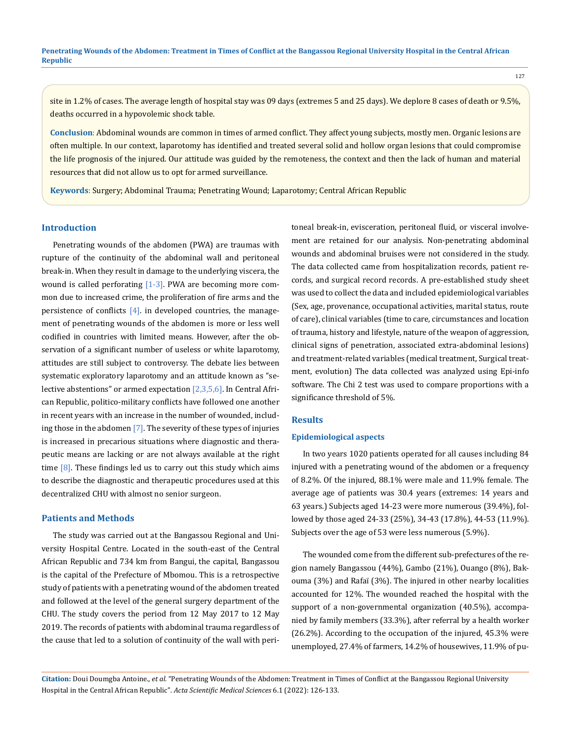127

site in 1.2% of cases. The average length of hospital stay was 09 days (extremes 5 and 25 days). We deplore 8 cases of death or 9.5%, deaths occurred in a hypovolemic shock table.

**Conclusion**: Abdominal wounds are common in times of armed conflict. They affect young subjects, mostly men. Organic lesions are often multiple. In our context, laparotomy has identified and treated several solid and hollow organ lesions that could compromise the life prognosis of the injured. Our attitude was guided by the remoteness, the context and then the lack of human and material resources that did not allow us to opt for armed surveillance.

**Keywords**: Surgery; Abdominal Trauma; Penetrating Wound; Laparotomy; Central African Republic

#### **Introduction**

Penetrating wounds of the abdomen (PWA) are traumas with rupture of the continuity of the abdominal wall and peritoneal break-in. When they result in damage to the underlying viscera, the wound is called perforating  $[1-3]$ . PWA are becoming more common due to increased crime, the proliferation of fire arms and the persistence of conflicts  $[4]$ . in developed countries, the management of penetrating wounds of the abdomen is more or less well codified in countries with limited means. However, after the observation of a significant number of useless or white laparotomy, attitudes are still subject to controversy. The debate lies between systematic exploratory laparotomy and an attitude known as "selective abstentions" or armed expectation [2,3,5,6]. In Central African Republic, politico-military conflicts have followed one another in recent years with an increase in the number of wounded, including those in the abdomen [7]. The severity of these types of injuries is increased in precarious situations where diagnostic and therapeutic means are lacking or are not always available at the right time  $[8]$ . These findings led us to carry out this study which aims to describe the diagnostic and therapeutic procedures used at this decentralized CHU with almost no senior surgeon.

#### **Patients and Methods**

The study was carried out at the Bangassou Regional and University Hospital Centre. Located in the south-east of the Central African Republic and 734 km from Bangui, the capital, Bangassou is the capital of the Prefecture of Mbomou. This is a retrospective study of patients with a penetrating wound of the abdomen treated and followed at the level of the general surgery department of the CHU. The study covers the period from 12 May 2017 to 12 May 2019. The records of patients with abdominal trauma regardless of the cause that led to a solution of continuity of the wall with peritoneal break-in, evisceration, peritoneal fluid, or visceral involvement are retained for our analysis. Non-penetrating abdominal wounds and abdominal bruises were not considered in the study. The data collected came from hospitalization records, patient records, and surgical record records. A pre-established study sheet was used to collect the data and included epidemiological variables (Sex, age, provenance, occupational activities, marital status, route of care), clinical variables (time to care, circumstances and location of trauma, history and lifestyle, nature of the weapon of aggression, clinical signs of penetration, associated extra-abdominal lesions) and treatment-related variables (medical treatment, Surgical treatment, evolution) The data collected was analyzed using Epi-info software. The Chi 2 test was used to compare proportions with a significance threshold of 5%.

#### **Results**

### **Epidemiological aspects**

In two years 1020 patients operated for all causes including 84 injured with a penetrating wound of the abdomen or a frequency of 8.2%. Of the injured, 88.1% were male and 11.9% female. The average age of patients was 30.4 years (extremes: 14 years and 63 years.) Subjects aged 14-23 were more numerous (39.4%), followed by those aged 24-33 (25%), 34-43 (17.8%), 44-53 (11.9%). Subjects over the age of 53 were less numerous (5.9%).

The wounded come from the different sub-prefectures of the region namely Bangassou (44%), Gambo (21%), Ouango (8%), Bakouma (3%) and Rafaï (3%). The injured in other nearby localities accounted for 12%. The wounded reached the hospital with the support of a non-governmental organization (40.5%), accompanied by family members (33.3%), after referral by a health worker (26.2%). According to the occupation of the injured, 45.3% were unemployed, 27.4% of farmers, 14.2% of housewives, 11.9% of pu-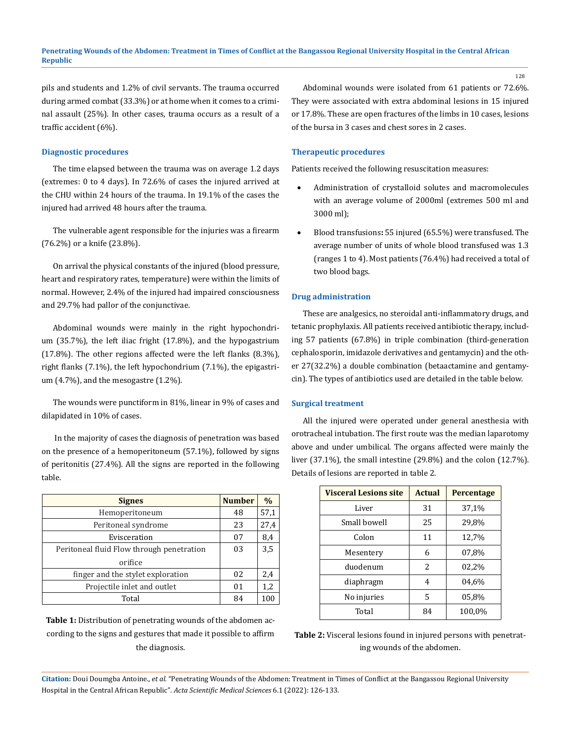pils and students and 1.2% of civil servants. The trauma occurred during armed combat (33.3%) or at home when it comes to a criminal assault (25%). In other cases, trauma occurs as a result of a traffic accident (6%).

### **Diagnostic procedures**

The time elapsed between the trauma was on average 1.2 days (extremes: 0 to 4 days). In 72.6% of cases the injured arrived at the CHU within 24 hours of the trauma. In 19.1% of the cases the injured had arrived 48 hours after the trauma.

The vulnerable agent responsible for the injuries was a firearm (76.2%) or a knife (23.8%).

On arrival the physical constants of the injured (blood pressure, heart and respiratory rates, temperature) were within the limits of normal. However, 2.4% of the injured had impaired consciousness and 29.7% had pallor of the conjunctivae.

Abdominal wounds were mainly in the right hypochondrium (35.7%), the left iliac fright (17.8%), and the hypogastrium (17.8%). The other regions affected were the left flanks (8.3%), right flanks (7.1%), the left hypochondrium (7.1%), the epigastrium (4.7%), and the mesogastre (1.2%).

The wounds were punctiform in 81%, linear in 9% of cases and dilapidated in 10% of cases.

 In the majority of cases the diagnosis of penetration was based on the presence of a hemoperitoneum (57.1%), followed by signs of peritonitis (27.4%). All the signs are reported in the following table.

| <b>Signes</b>                             | <b>Number</b> | $\frac{0}{0}$ |
|-------------------------------------------|---------------|---------------|
| Hemoperitoneum                            | 48            | 57,1          |
| Peritoneal syndrome                       | 23            | 27,4          |
| Evisceration                              | 07            | 8,4           |
| Peritoneal fluid Flow through penetration | 03            | 3,5           |
| orifice                                   |               |               |
| finger and the stylet exploration         | 02            | 2,4           |
| Projectile inlet and outlet               | 01            | 1,2           |
| Total                                     | 84            | 100           |

**Table 1:** Distribution of penetrating wounds of the abdomen according to the signs and gestures that made it possible to affirm the diagnosis.

Abdominal wounds were isolated from 61 patients or 72.6%. They were associated with extra abdominal lesions in 15 injured or 17.8%. These are open fractures of the limbs in 10 cases, lesions of the bursa in 3 cases and chest sores in 2 cases.

#### **Therapeutic procedures**

Patients received the following resuscitation measures:

- Administration of crystalloid solutes and macromolecules with an average volume of 2000ml (extremes 500 ml and 3000 ml);
- Blood transfusions: 55 injured (65.5%) were transfused. The average number of units of whole blood transfused was 1.3 (ranges 1 to 4). Most patients (76.4%) had received a total of two blood bags.

#### **Drug administration**

These are analgesics, no steroidal anti-inflammatory drugs, and tetanic prophylaxis. All patients received antibiotic therapy, including 57 patients (67.8%) in triple combination (third-generation cephalosporin, imidazole derivatives and gentamycin) and the other 27(32.2%) a double combination (betaactamine and gentamycin). The types of antibiotics used are detailed in the table below.

#### **Surgical treatment**

All the injured were operated under general anesthesia with orotracheal intubation. The first route was the median laparotomy above and under umbilical. The organs affected were mainly the liver (37.1%), the small intestine (29.8%) and the colon (12.7%). Details of lesions are reported in table 2.

| <b>Visceral Lesions site</b> | <b>Actual</b> | Percentage |
|------------------------------|---------------|------------|
| Liver                        | 31            | 37,1%      |
| Small bowell                 | 25            | 29,8%      |
| Colon                        | 11            | 12,7%      |
| Mesentery                    | 6             | 07,8%      |
| duodenum                     | 2             | 02,2%      |
| diaphragm                    | 4             | 04,6%      |
| No injuries                  | 5             | 05,8%      |
| Total                        | 84            | 100,0%     |

**Table 2:** Visceral lesions found in injured persons with penetrating wounds of the abdomen.

**Citation:** Doui Doumgba Antoine*., et al.* "Penetrating Wounds of the Abdomen: Treatment in Times of Conflict at the Bangassou Regional University Hospital in the Central African Republic". *Acta Scientific Medical Sciences* 6.1 (2022): 126-133.

128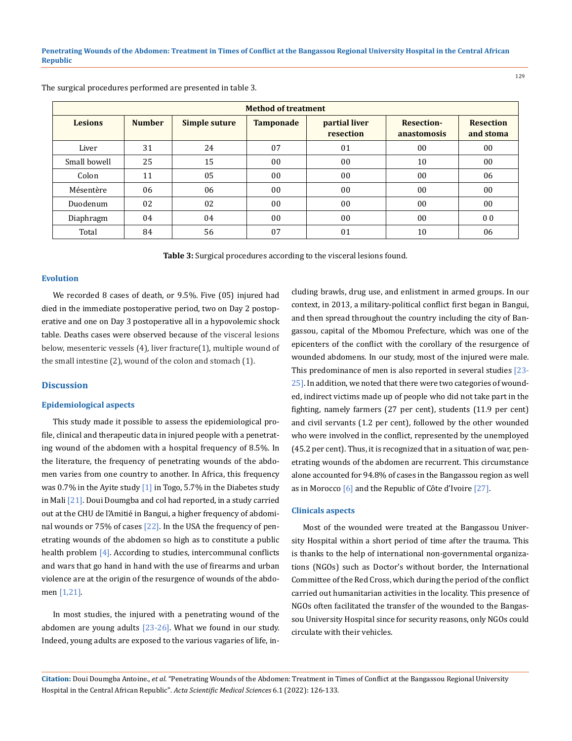| <b>Method of treatment</b> |               |               |                  |                            |                                  |                               |  |  |
|----------------------------|---------------|---------------|------------------|----------------------------|----------------------------------|-------------------------------|--|--|
| <b>Lesions</b>             | <b>Number</b> | Simple suture | <b>Tamponade</b> | partial liver<br>resection | <b>Resection-</b><br>anastomosis | <b>Resection</b><br>and stoma |  |  |
| Liver                      | 31            | 24            | 07               | 01                         | 00                               | 00                            |  |  |
| Small bowell               | 25            | 15            | 00               | 0 <sub>0</sub>             | 10                               | 00                            |  |  |
| Colon                      | 11            | 05            | 00               | 00                         | 00                               | 06                            |  |  |
| Mésentère                  | 06            | 06            | 00               | 0 <sub>0</sub>             | $00\,$                           | 00                            |  |  |
| Duodenum                   | 02            | 02            | 00               | 0 <sub>0</sub>             | $00\,$                           | 00                            |  |  |
| Diaphragm                  | 04            | 04            | 00               | 0 <sub>0</sub>             | $00\,$                           | 0 <sub>0</sub>                |  |  |
| Total                      | 84            | 56            | 07               | 01                         | 10                               | 06                            |  |  |

The surgical procedures performed are presented in table 3.

**Table 3:** Surgical procedures according to the visceral lesions found.

#### **Evolution**

We recorded 8 cases of death, or 9.5%. Five (05) injured had died in the immediate postoperative period, two on Day 2 postoperative and one on Day 3 postoperative all in a hypovolemic shock table. Deaths cases were observed because of the visceral lesions below, mesenteric vessels (4), liver fracture(1), multiple wound of the small intestine (2), wound of the colon and stomach (1).

## **Discussion**

### **Epidemiological aspects**

This study made it possible to assess the epidemiological profile, clinical and therapeutic data in injured people with a penetrating wound of the abdomen with a hospital frequency of 8.5%. In the literature, the frequency of penetrating wounds of the abdomen varies from one country to another. In Africa, this frequency was 0.7% in the Ayite study  $\left[1\right]$  in Togo, 5.7% in the Diabetes study in Mali [21]. Doui Doumgba and col had reported, in a study carried out at the CHU de l'Amitié in Bangui, a higher frequency of abdominal wounds or 75% of cases [22]. In the USA the frequency of penetrating wounds of the abdomen so high as to constitute a public health problem [4]. According to studies, intercommunal conflicts and wars that go hand in hand with the use of firearms and urban violence are at the origin of the resurgence of wounds of the abdomen [1,21].

In most studies, the injured with a penetrating wound of the abdomen are young adults  $[23-26]$ . What we found in our study. Indeed, young adults are exposed to the various vagaries of life, including brawls, drug use, and enlistment in armed groups. In our context, in 2013, a military-political conflict first began in Bangui, and then spread throughout the country including the city of Bangassou, capital of the Mbomou Prefecture, which was one of the epicenters of the conflict with the corollary of the resurgence of wounded abdomens. In our study, most of the injured were male. This predominance of men is also reported in several studies [23- 25]. In addition, we noted that there were two categories of wounded, indirect victims made up of people who did not take part in the fighting, namely farmers (27 per cent), students (11.9 per cent) and civil servants (1.2 per cent), followed by the other wounded who were involved in the conflict, represented by the unemployed (45.2 per cent). Thus, it is recognized that in a situation of war, penetrating wounds of the abdomen are recurrent. This circumstance alone accounted for 94.8% of cases in the Bangassou region as well as in Morocco [6] and the Republic of Côte d'Ivoire [27].

#### **Clinicals aspects**

Most of the wounded were treated at the Bangassou University Hospital within a short period of time after the trauma. This is thanks to the help of international non-governmental organizations (NGOs) such as Doctor's without border, the International Committee of the Red Cross, which during the period of the conflict carried out humanitarian activities in the locality. This presence of NGOs often facilitated the transfer of the wounded to the Bangassou University Hospital since for security reasons, only NGOs could circulate with their vehicles.

**Citation:** Doui Doumgba Antoine*., et al.* "Penetrating Wounds of the Abdomen: Treatment in Times of Conflict at the Bangassou Regional University Hospital in the Central African Republic". *Acta Scientific Medical Sciences* 6.1 (2022): 126-133.

129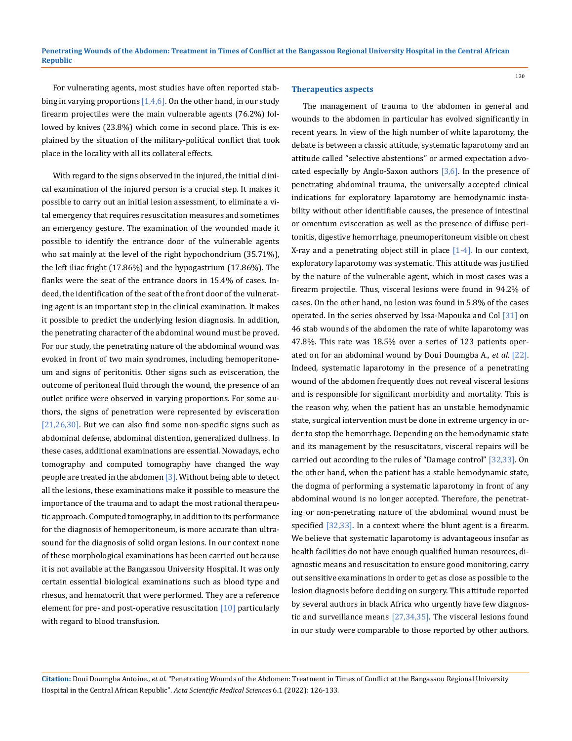For vulnerating agents, most studies have often reported stabbing in varying proportions  $[1,4,6]$ . On the other hand, in our study firearm projectiles were the main vulnerable agents (76.2%) followed by knives (23.8%) which come in second place. This is explained by the situation of the military-political conflict that took place in the locality with all its collateral effects.

With regard to the signs observed in the injured, the initial clinical examination of the injured person is a crucial step. It makes it possible to carry out an initial lesion assessment, to eliminate a vital emergency that requires resuscitation measures and sometimes an emergency gesture. The examination of the wounded made it possible to identify the entrance door of the vulnerable agents who sat mainly at the level of the right hypochondrium (35.71%), the left iliac fright (17.86%) and the hypogastrium (17.86%). The flanks were the seat of the entrance doors in 15.4% of cases. Indeed, the identification of the seat of the front door of the vulnerating agent is an important step in the clinical examination. It makes it possible to predict the underlying lesion diagnosis. In addition, the penetrating character of the abdominal wound must be proved. For our study, the penetrating nature of the abdominal wound was evoked in front of two main syndromes, including hemoperitoneum and signs of peritonitis. Other signs such as evisceration, the outcome of peritoneal fluid through the wound, the presence of an outlet orifice were observed in varying proportions. For some authors, the signs of penetration were represented by evisceration  $[21,26,30]$ . But we can also find some non-specific signs such as abdominal defense, abdominal distention, generalized dullness. In these cases, additional examinations are essential. Nowadays, echo tomography and computed tomography have changed the way people are treated in the abdomen [3]. Without being able to detect all the lesions, these examinations make it possible to measure the importance of the trauma and to adapt the most rational therapeutic approach. Computed tomography, in addition to its performance for the diagnosis of hemoperitoneum, is more accurate than ultrasound for the diagnosis of solid organ lesions. In our context none of these morphological examinations has been carried out because it is not available at the Bangassou University Hospital. It was only certain essential biological examinations such as blood type and rhesus, and hematocrit that were performed. They are a reference element for pre- and post-operative resuscitation [10] particularly with regard to blood transfusion.

#### **Therapeutics aspects**

The management of trauma to the abdomen in general and wounds to the abdomen in particular has evolved significantly in recent years. In view of the high number of white laparotomy, the debate is between a classic attitude, systematic laparotomy and an attitude called "selective abstentions" or armed expectation advocated especially by Anglo-Saxon authors  $[3,6]$ . In the presence of penetrating abdominal trauma, the universally accepted clinical indications for exploratory laparotomy are hemodynamic instability without other identifiable causes, the presence of intestinal or omentum evisceration as well as the presence of diffuse peritonitis, digestive hemorrhage, pneumoperitoneum visible on chest X-ray and a penetrating object still in place  $[1-4]$ . In our context, exploratory laparotomy was systematic. This attitude was justified by the nature of the vulnerable agent, which in most cases was a firearm projectile. Thus, visceral lesions were found in 94.2% of cases. On the other hand, no lesion was found in 5.8% of the cases operated. In the series observed by Issa-Mapouka and Col [31] on 46 stab wounds of the abdomen the rate of white laparotomy was 47.8%. This rate was 18.5% over a series of 123 patients operated on for an abdominal wound by Doui Doumgba A., *et al*. [22]. Indeed, systematic laparotomy in the presence of a penetrating wound of the abdomen frequently does not reveal visceral lesions and is responsible for significant morbidity and mortality. This is the reason why, when the patient has an unstable hemodynamic state, surgical intervention must be done in extreme urgency in order to stop the hemorrhage. Depending on the hemodynamic state and its management by the resuscitators, visceral repairs will be carried out according to the rules of "Damage control" [32,33]. On the other hand, when the patient has a stable hemodynamic state, the dogma of performing a systematic laparotomy in front of any abdominal wound is no longer accepted. Therefore, the penetrating or non-penetrating nature of the abdominal wound must be specified [32,33]. In a context where the blunt agent is a firearm. We believe that systematic laparotomy is advantageous insofar as health facilities do not have enough qualified human resources, diagnostic means and resuscitation to ensure good monitoring, carry out sensitive examinations in order to get as close as possible to the lesion diagnosis before deciding on surgery. This attitude reported by several authors in black Africa who urgently have few diagnostic and surveillance means [27,34,35]. The visceral lesions found in our study were comparable to those reported by other authors.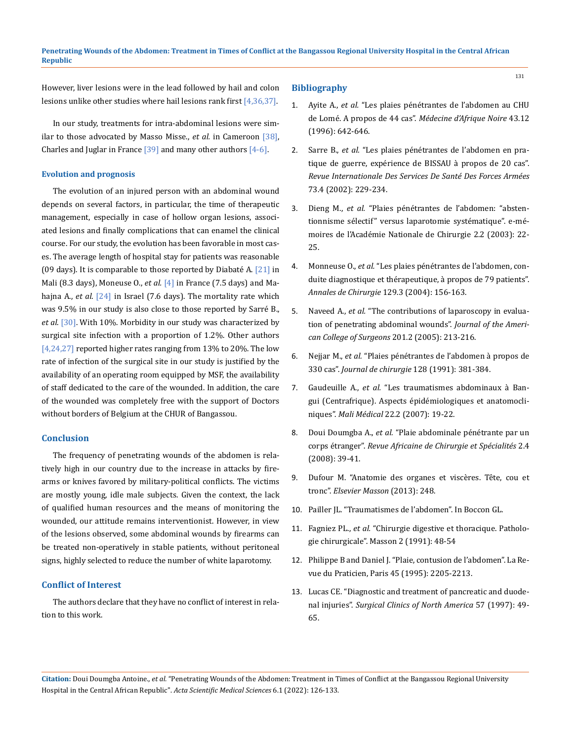However, liver lesions were in the lead followed by hail and colon lesions unlike other studies where hail lesions rank first [4,36,37].

In our study, treatments for intra-abdominal lesions were similar to those advocated by Masso Misse., *et al.* in Cameroon [38], Charles and Juglar in France  $[39]$  and many other authors  $[4-6]$ .

#### **Evolution and prognosis**

The evolution of an injured person with an abdominal wound depends on several factors, in particular, the time of therapeutic management, especially in case of hollow organ lesions, associated lesions and finally complications that can enamel the clinical course. For our study, the evolution has been favorable in most cases. The average length of hospital stay for patients was reasonable (09 days). It is comparable to those reported by Diabaté A.  $[21]$  in Mali (8.3 days), Moneuse O., *et al.* [4] in France (7.5 days) and Mahajna A., *et al*. [24] in Israel (7.6 days). The mortality rate which was 9.5% in our study is also close to those reported by Sarré B., *et al*. [30]. With 10%. Morbidity in our study was characterized by surgical site infection with a proportion of 1.2%. Other authors [4,24,27] reported higher rates ranging from 13% to 20%. The low rate of infection of the surgical site in our study is justified by the availability of an operating room equipped by MSF, the availability of staff dedicated to the care of the wounded. In addition, the care of the wounded was completely free with the support of Doctors without borders of Belgium at the CHUR of Bangassou.

#### **Conclusion**

The frequency of penetrating wounds of the abdomen is relatively high in our country due to the increase in attacks by firearms or knives favored by military-political conflicts. The victims are mostly young, idle male subjects. Given the context, the lack of qualified human resources and the means of monitoring the wounded, our attitude remains interventionist. However, in view of the lesions observed, some abdominal wounds by firearms can be treated non-operatively in stable patients, without peritoneal signs, highly selected to reduce the number of white laparotomy.

## **Conflict of Interest**

The authors declare that they have no conflict of interest in relation to this work.

#### **Bibliography**

- 1. Ayite A., *et al.* ["Les plaies pénétrantes de l'abdomen au CHU](http://www.santetropicale.com/Resume/124304.pdf) [de Lomé. A propos de 44 cas".](http://www.santetropicale.com/Resume/124304.pdf) *Médecine d'Afrique Noire* 43.12 [\(1996\): 642-646.](http://www.santetropicale.com/Resume/124304.pdf)
- 2. Sarre B., *et al.* "Les plaies pénétrantes de l'abdomen en pratique de guerre, expérience de BISSAU à propos de 20 cas". *Revue Internationale Des Services De Santé Des Forces Armées* 73.4 (2002): 229-234.
- 3. Dieng M., *et al.* ["Plaies pénétrantes de l'abdomen: "absten](https://www.researchgate.net/publication/280805256_Plaies_penetrantes_de_l%27abdomen_abstentionnisme_selectif_versus_laparotomie_systematique)[tionnisme sélectif" versus laparotomie systématique". e-mé](https://www.researchgate.net/publication/280805256_Plaies_penetrantes_de_l%27abdomen_abstentionnisme_selectif_versus_laparotomie_systematique)[moires de l'Académie Nationale de Chirurgie 2.2 \(2003\): 22-](https://www.researchgate.net/publication/280805256_Plaies_penetrantes_de_l%27abdomen_abstentionnisme_selectif_versus_laparotomie_systematique) [25.](https://www.researchgate.net/publication/280805256_Plaies_penetrantes_de_l%27abdomen_abstentionnisme_selectif_versus_laparotomie_systematique)
- 4. Monneuse O., *et al.* ["Les plaies pénétrantes de l'abdomen, con](https://www.sciencedirect.com/science/article/abs/pii/S0003394404000203)[duite diagnostique et thérapeutique, à propos de 79 patients".](https://www.sciencedirect.com/science/article/abs/pii/S0003394404000203) *[Annales de Chirurgie](https://www.sciencedirect.com/science/article/abs/pii/S0003394404000203)* 129.3 (2004): 156-163.
- 5. Naveed A., *et al.* ["The contributions of laparoscopy in evalua](https://pubmed.ncbi.nlm.nih.gov/16038818/)[tion of penetrating abdominal wounds".](https://pubmed.ncbi.nlm.nih.gov/16038818/) *Journal of the Ameri[can College of Surgeons](https://pubmed.ncbi.nlm.nih.gov/16038818/)* 201.2 (2005): 213-216.
- 6. Nejjar M., *et al.* ["Plaies pénétrantes de l'abdomen à propos de](https://pascal-francis.inist.fr/vibad/index.php?action=getRecordDetail&idt=5187679)  330 cas". *[Journal de chirurgie](https://pascal-francis.inist.fr/vibad/index.php?action=getRecordDetail&idt=5187679)* 128 (1991): 381-384.
- 7. Gaudeuille A., *et al.* ["Les traumatismes abdominaux à Ban](https://www.bibliosante.ml/handle/123456789/3516?show=full&locale-attribute=en)[gui \(Centrafrique\). Aspects épidémiologiques et anatomocli](https://www.bibliosante.ml/handle/123456789/3516?show=full&locale-attribute=en)niques". *Mali Médical* [22.2 \(2007\): 19-22.](https://www.bibliosante.ml/handle/123456789/3516?show=full&locale-attribute=en)
- 8. Doui Doumgba A., *et al.* "Plaie abdominale pénétrante par un corps étranger". *Revue Africaine de Chirurgie et Spécialités* 2.4 (2008): 39-41.
- 9. [Dufour M. "Anatomie des organes et viscères. Tête, cou et](https://www.vg-librairies.fr/prof-paramedicales/6518-anatomie-des-organes-et-des-visceres-tete-cou-tronc.html)  tronc". *[Elsevier Masson](https://www.vg-librairies.fr/prof-paramedicales/6518-anatomie-des-organes-et-des-visceres-tete-cou-tronc.html)* (2013): 248.
- 10. Pailler JL. "Traumatismes de l'abdomen". In Boccon GL.
- 11. Fagniez PL., *et al.* "Chirurgie digestive et thoracique. Pathologie chirurgicale". Masson 2 (1991): 48-54
- 12. Philippe B and Daniel J. "Plaie, contusion de l'abdomen". La Revue du Praticien, Paris 45 (1995): 2205-2213.
- 13. [Lucas CE. "Diagnostic and treatment of pancreatic and duode](https://pubmed.ncbi.nlm.nih.gov/854854/)nal injuries". *[Surgical Clinics of North America](https://pubmed.ncbi.nlm.nih.gov/854854/)* 57 (1997): 49- [65.](https://pubmed.ncbi.nlm.nih.gov/854854/)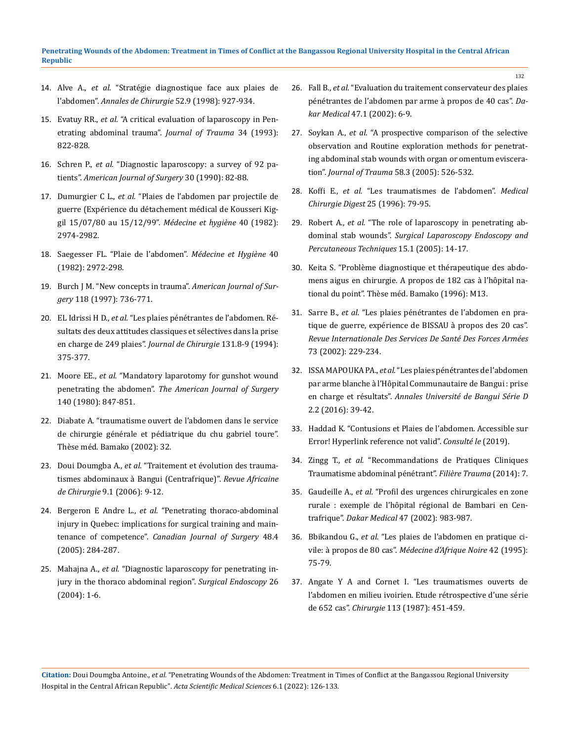- 14. Alve A., *et al.* ["Stratégie diagnostique face aux plaies de](https://www.lissa.fr/rep/articles/9882884)  l'abdomen". *[Annales de Chirurgie](https://www.lissa.fr/rep/articles/9882884)* 52.9 (1998): 927-934.
- 15. Evatuy RR., *et al.* ["A critical evaluation of laparoscopy in Pen](https://pubmed.ncbi.nlm.nih.gov/8315677/)[etrating abdominal trauma".](https://pubmed.ncbi.nlm.nih.gov/8315677/) *Journal of Trauma* 34 (1993): [822-828.](https://pubmed.ncbi.nlm.nih.gov/8315677/)
- 16. Schren P., *et al.* ["Diagnostic laparoscopy: a survey of 92 pa](https://pubmed.ncbi.nlm.nih.gov/7943593/)tients". *[American Journal of Surgery](https://pubmed.ncbi.nlm.nih.gov/7943593/)* 30 (1990): 82-88.
- 17. Dumurgier C L., *et al.* "Plaies de l'abdomen par projectile de guerre (Expérience du détachement médical de Kousseri Kiggil 15/07/80 au 15/12/99". *Médecine et hygiène* 40 (1982): 2974-2982.
- 18. Saegesser FL. "Plaie de l'abdomen". *Médecine et Hygiène* 40 (1982): 2972-298.
- 19. [Burch J M. "New concepts in trauma".](https://pubmed.ncbi.nlm.nih.gov/9046883/) *American Journal of Surgery* [118 \(1997\): 736-771.](https://pubmed.ncbi.nlm.nih.gov/9046883/)
- 20. EL Idrissi H D., *et al.* "Les plaies pénétrantes de l'abdomen. Résultats des deux attitudes classiques et sélectives dans la prise en charge de 249 plaies". *Journal de Chirurgie* 131.8-9 (1994): 375-377.
- 21. Moore EE., *et al.* ["Mandatory laparotomy for gunshot wound](https://pubmed.ncbi.nlm.nih.gov/7457711/)  penetrating the abdomen". *[The American Journal of Surgery](https://pubmed.ncbi.nlm.nih.gov/7457711/)*  [140 \(1980\): 847-851.](https://pubmed.ncbi.nlm.nih.gov/7457711/)
- 22. Diabate A. "traumatisme ouvert de l'abdomen dans le service de chirurgie générale et pédiatrique du chu gabriel toure". Thèse méd. Bamako (2002): 32.
- 23. Doui Doumgba A., *et al.* "Traitement et évolution des traumatismes abdominaux à Bangui (Centrafrique)". *Revue Africaine de Chirurgie* 9.1 (2006): 9-12.
- 24. Bergeron E Andre L., *et al.* ["Penetrating thoraco-abdominal](https://pubmed.ncbi.nlm.nih.gov/16149362/)  [injury in Quebec: implications for surgical training and main](https://pubmed.ncbi.nlm.nih.gov/16149362/)tenance of competence". *[Canadian Journal of Surgery](https://pubmed.ncbi.nlm.nih.gov/16149362/)* 48.4 [\(2005\): 284-287.](https://pubmed.ncbi.nlm.nih.gov/16149362/)
- 25. Mahajna A., *et al.* ["Diagnostic laparoscopy for penetrating in](https://pubmed.ncbi.nlm.nih.gov/15791374/)[jury in the thoraco abdominal region".](https://pubmed.ncbi.nlm.nih.gov/15791374/) *Surgical Endoscopy* 26 [\(2004\): 1-6.](https://pubmed.ncbi.nlm.nih.gov/15791374/)
- 26. Fall B., *et al.* ["Evaluation du traitement conservateur des plaies](https://pesquisa.bvsalud.org/portal/resource/pt/afr-190199)  [pénétrantes de l'abdomen par arme à propos de 40 cas".](https://pesquisa.bvsalud.org/portal/resource/pt/afr-190199) *Dakar Medical* [47.1 \(2002\): 6-9.](https://pesquisa.bvsalud.org/portal/resource/pt/afr-190199)
- 27. Soykan A., *et al.* ["A prospective comparison of the selective](https://pubmed.ncbi.nlm.nih.gov/15761347/)  [observation and Routine exploration methods for penetrat](https://pubmed.ncbi.nlm.nih.gov/15761347/)[ing abdominal stab wounds with organ or omentum eviscera](https://pubmed.ncbi.nlm.nih.gov/15761347/)tion". *[Journal of Trauma](https://pubmed.ncbi.nlm.nih.gov/15761347/)* 58.3 (2005): 526-532.
- 28. Koffi E., *et al.* "Les traumatismes de l'abdomen". *Medical Chirurgie Digest* 25 (1996): 79-95.
- 29. Robert A., *et al.* ["The role of laparoscopy in penetrating ab](https://pubmed.ncbi.nlm.nih.gov/15714149/)dominal stab wounds". *[Surgical Laparoscopy Endoscopy and](https://pubmed.ncbi.nlm.nih.gov/15714149/)  [Percutaneous Techniques](https://pubmed.ncbi.nlm.nih.gov/15714149/)* 15.1 (2005): 14-17.
- 30. Keita S. "Problème diagnostique et thérapeutique des abdomens aigus en chirurgie. A propos de 182 cas à l'hôpital national du point". Thèse méd. Bamako (1996): M13.
- 31. Sarre B., *et al.* "Les plaies pénétrantes de l'abdomen en pratique de guerre, expérience de BISSAU à propos des 20 cas". *Revue Internationale Des Services De Santé Des Forces Armées* 73 (2002): 229-234.
- 32. ISSA MAPOUKA PA., *et al.* "Les plaies pénétrantes de l'abdomen par arme blanche à l'Hôpital Communautaire de Bangui : prise en charge et résultats". *Annales Université de Bangui Série D*  2.2 (2016): 39-42.
- 33. Haddad K. "Contusions et Plaies de l'abdomen. Accessible sur Error! Hyperlink reference not valid". *Consulté le* (2019).
- 34. Zingg T., *et al.* ["Recommandations de Pratiques Cliniques](https://www.chuv.ch/fileadmin/sites/chv/documents/CHV_trauma_abdominal_penetrant_explicatif.pdf)  [Traumatisme abdominal pénétrant".](https://www.chuv.ch/fileadmin/sites/chv/documents/CHV_trauma_abdominal_penetrant_explicatif.pdf) *Filière Trauma* (2014): 7.
- 35. Gaudeille A., *et al.* ["Profil des urgences chirurgicales en zone](https://pesquisa.bvsalud.org/portal/resource/pt/biblio-1260934)  [rurale : exemple de l'hôpital régional de Bambari en Cen](https://pesquisa.bvsalud.org/portal/resource/pt/biblio-1260934)trafrique". *Dakar Medical* [47 \(2002\): 983-987.](https://pesquisa.bvsalud.org/portal/resource/pt/biblio-1260934)
- 36. Bbikandou G., *et al.* "Les plaies de l'abdomen en pratique civile: à propos de 80 cas". *Médecine d'Afrique Noire* 42 (1995): 75-79.
- 37. [Angate Y A and Cornet I. "Les traumatismes ouverts de](https://www.lissa.fr/rep/articles/2826085)  [l'abdomen en milieu ivoirien. Etude rétrospective d'une série](https://www.lissa.fr/rep/articles/2826085)  de 652 cas". *Chirurgie* [113 \(1987\): 451-459.](https://www.lissa.fr/rep/articles/2826085)

**Citation:** Doui Doumgba Antoine*., et al.* "Penetrating Wounds of the Abdomen: Treatment in Times of Conflict at the Bangassou Regional University Hospital in the Central African Republic". *Acta Scientific Medical Sciences* 6.1 (2022): 126-133.

132